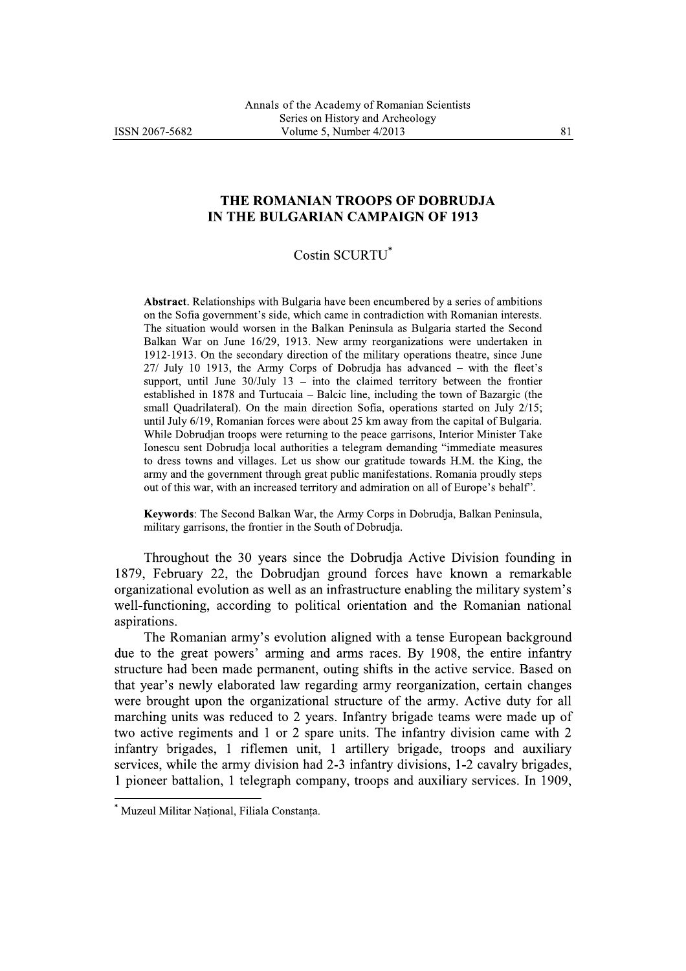## THE ROMANIAN TROOPS OF DOBRUDJA IN THE BULGARIAN CAMPAIGN OF 1913

## Costin SCURTU\*

**Abstract.** Relationships with Bulgaria have been encumbered by a series of ambitions on the Sofia government's side, which came in contradiction with Romanian interests. The situation would worsen in the Balkan Peninsula as Bulgaria started the Second Balkan War on June 16/29, 1913. New army reorganizations were undertaken in 1912-1913. On the secondary direction of the military operations theatre, since June 27/ July 10 1913, the Army Corps of Dobrudja has advanced – with the fleet's support, until June  $30$ /July 13 – into the claimed territory between the frontier established in 1878 and Turtucaia – Balcic line, including the town of Bazargic (the small Quadrilateral). On the main direction Sofia, operations started on July 2/15; until July 6/19, Romanian forces were about 25 km away from the capital of Bulgaria. While Dobrudjan troops were returning to the peace garrisons, Interior Minister Take Ionescu sent Dobrudja local authorities a telegram demanding "immediate measures to dress towns and villages. Let us show our gratitude towards H.M. the King, the army and the government through great public manifestations. Romania proudly steps out of this war, with an increased territory and admiration on all of Europe's behalf'.

Keywords: The Second Balkan War, the Army Corps in Dobrudja, Balkan Peninsula, military garrisons, the frontier in the South of Dobrudja.

Throughout the 30 years since the Dobrudja Active Division founding in 1879, February 22, the Dobrudjan ground forces have known a remarkable organizational evolution as well as an infrastructure enabling the military system's well-functioning, according to political orientation and the Romanian national aspirations.

The Romanian army's evolution aligned with a tense European background due to the great powers' arming and arms races. By 1908, the entire infantry structure had been made permanent, outing shifts in the active service. Based on that year's newly elaborated law regarding army reorganization, certain changes were brought upon the organizational structure of the army. Active duty for all marching units was reduced to 2 years. Infantry brigade teams were made up of two active regiments and 1 or 2 spare units. The infantry division came with 2 infantry brigades, 1 riflemen unit, 1 artillery brigade, troops and auxiliary services, while the army division had 2-3 infantry divisions, 1-2 cavalry brigades, 1 pioneer battalion, 1 telegraph company, troops and auxiliary services. In 1909,

Muzeul Militar Național, Filiala Constanța.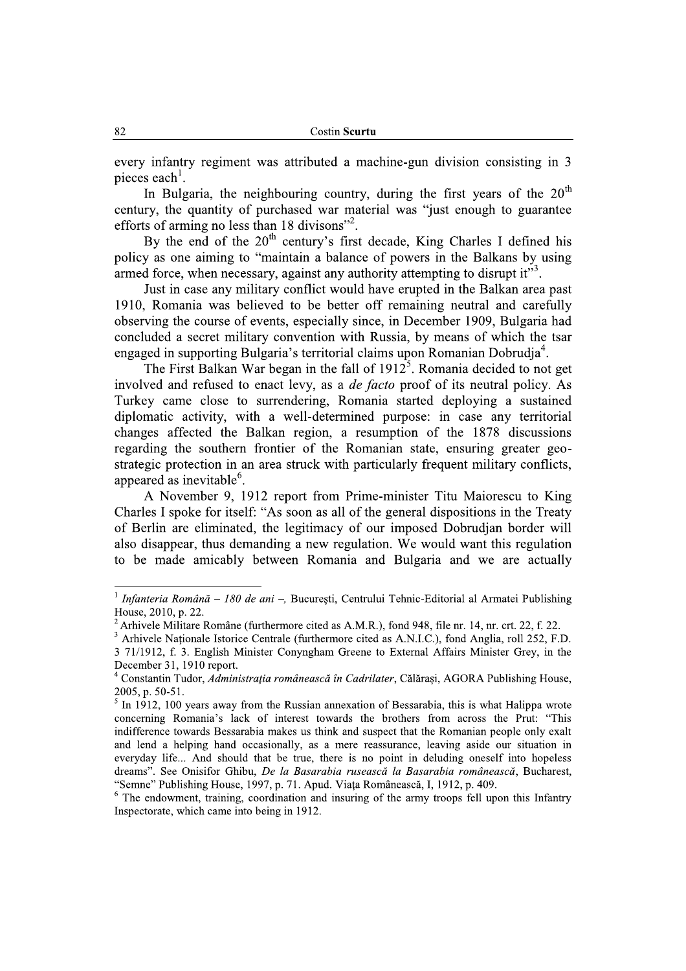every infantry regiment was attributed a machine-gun division consisting in 3 pieces each<sup>1</sup>.

In Bulgaria, the neighbouring country, during the first vears of the  $20<sup>th</sup>$ century, the quantity of purchased war material was "just enough to guarantee efforts of arming no less than 18 divisons"<sup>2</sup>.

By the end of the  $20<sup>th</sup>$  century's first decade, King Charles I defined his policy as one aiming to "maintain a balance of powers in the Balkans by using armed force, when necessary, against any authority attempting to disrupt it"<sup>3</sup>.

Just in case any military conflict would have erupted in the Balkan area past 1910, Romania was believed to be better off remaining neutral and carefully observing the course of events, especially since, in December 1909, Bulgaria had concluded a secret military convention with Russia, by means of which the tsar engaged in supporting Bulgaria's territorial claims upon Romanian Dobrudia<sup>4</sup>.

The First Balkan War began in the fall of  $1912<sup>5</sup>$ . Romania decided to not get involved and refused to enact levy, as a *de facto* proof of its neutral policy. As Turkey came close to surrendering, Romania started deploying a sustained diplomatic activity, with a well-determined purpose: in case any territorial changes affected the Balkan region, a resumption of the 1878 discussions regarding the southern frontier of the Romanian state, ensuring greater geostrategic protection in an area struck with particularly frequent military conflicts, appeared as inevitable<sup>6</sup>.

A November 9, 1912 report from Prime-minister Titu Maiorescu to King Charles I spoke for itself: "As soon as all of the general dispositions in the Treaty of Berlin are eliminated, the legitimacy of our imposed Dobrudjan border will also disappear, thus demanding a new regulation. We would want this regulation to be made amicably between Romania and Bulgaria and we are actually

<sup>&</sup>lt;sup>1</sup> Infanteria Română – 180 de ani –, București, Centrului Tehnic-Editorial al Armatei Publishing House, 2010, p. 22.

<sup>&</sup>lt;sup>2</sup> Arhivele Militare Române (furthermore cited as A.M.R.), fond 948, file nr. 14, nr. crt. 22, f. 22.

<sup>&</sup>lt;sup>3</sup> Arhivele Nationale Istorice Centrale (furthermore cited as A.N.I.C.), fond Anglia, roll 252, F.D. 3 71/1912, f. 3. English Minister Conyngham Greene to External Affairs Minister Grey, in the December 31, 1910 report.

<sup>&</sup>lt;sup>4</sup> Constantin Tudor, *Administratia românească în Cadrilater*, Călărasi, AGORA Publishing House, 2005, p. 50-51.

 $<sup>5</sup>$  In 1912, 100 years away from the Russian annexation of Bessarabia, this is what Halippa wrote</sup> concerning Romania's lack of interest towards the brothers from across the Prut: "This indifference towards Bessarabia makes us think and suspect that the Romanian people only exalt and lend a helping hand occasionally, as a mere reassurance, leaving aside our situation in everyday life... And should that be true, there is no point in deluding oneself into hopeless dreams". See Onisifor Ghibu, De la Basarabia rusească la Basarabia românească, Bucharest, "Semne" Publishing House, 1997, p. 71. Apud. Viața Românească, I, 1912, p. 409.

<sup>&</sup>lt;sup>6</sup> The endowment, training, coordination and insuring of the army troops fell upon this Infantry Inspectorate, which came into being in 1912.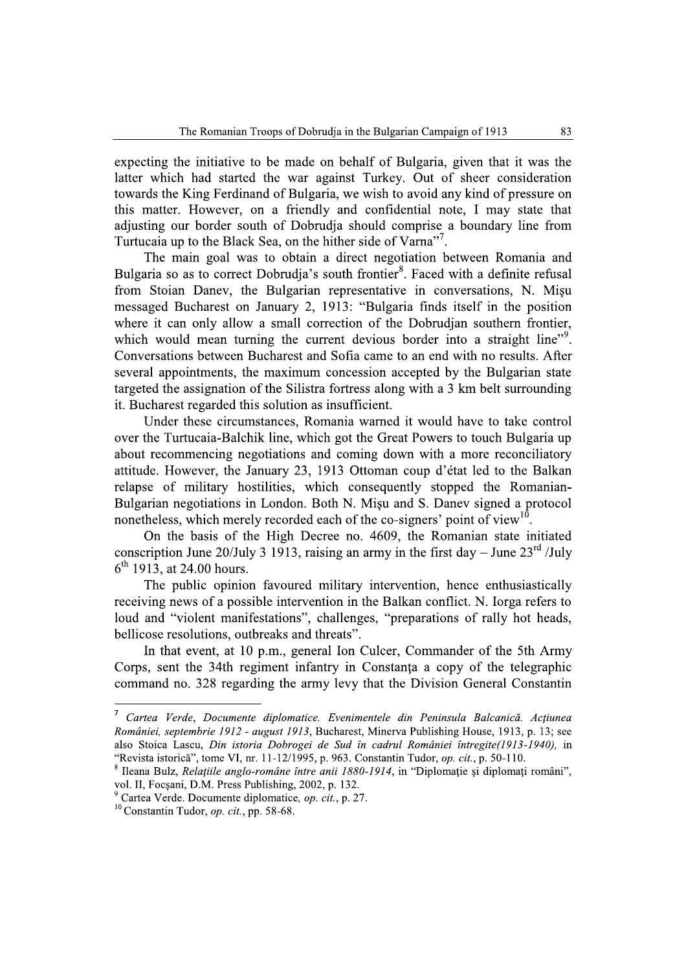expecting the initiative to be made on behalf of Bulgaria, given that it was the latter which had started the war against Turkey. Out of sheer consideration towards the King Ferdinand of Bulgaria, we wish to avoid any kind of pressure on this matter. However, on a friendly and confidential note. I may state that adjusting our border south of Dobrudja should comprise a boundary line from Turtucaia up to the Black Sea, on the hither side of Varna".

The main goal was to obtain a direct negotiation between Romania and Bulgaria so as to correct Dobrudja's south frontier<sup>8</sup>. Faced with a definite refusal from Stoian Daney, the Bulgarian representative in conversations, N. Misu messaged Bucharest on January 2, 1913: "Bulgaria finds itself in the position where it can only allow a small correction of the Dobrudian southern frontier. which would mean turning the current devious border into a straight line"<sup>9</sup>. Conversations between Bucharest and Sofia came to an end with no results. After several appointments, the maximum concession accepted by the Bulgarian state targeted the assignation of the Silistra fortress along with a 3 km belt surrounding it. Bucharest regarded this solution as insufficient.

Under these circumstances, Romania warned it would have to take control over the Turtucaia-Balchik line, which got the Great Powers to touch Bulgaria up about recommencing negotiations and coming down with a more reconciliatory attitude. However, the January 23, 1913 Ottoman coup d'état led to the Balkan relapse of military hostilities, which consequently stopped the Romanian-Bulgarian negotiations in London. Both N. Misu and S. Daney signed a protocol nonetheless, which merely recorded each of the co-signers' point of view<sup>10</sup>.

On the basis of the High Decree no. 4609, the Romanian state initiated conscription June 20/July 3 1913, raising an army in the first day – June  $23^{\text{rd}}$  /July  $6<sup>th</sup>$  1913, at 24.00 hours.

The public opinion favoured military intervention, hence enthusiastically receiving news of a possible intervention in the Balkan conflict. N. Iorga refers to loud and "violent manifestations", challenges, "preparations of rally hot heads, bellicose resolutions, outbreaks and threats".

In that event, at 10 p.m., general Ion Culcer, Commander of the 5th Army Corps, sent the 34th regiment infantry in Constanta a copy of the telegraphic command no. 328 regarding the army levy that the Division General Constantin

<sup>&</sup>lt;sup>7</sup> Cartea Verde, Documente diplomatice. Evenimentele din Peninsula Balcanică. Acțiunea României, septembrie 1912 - august 1913, Bucharest, Minerva Publishing House, 1913, p. 13; see also Stoica Lascu, Din istoria Dobrogei de Sud în cadrul României întregite(1913-1940), in "Revista istorică", tome VI, nr. 11-12/1995, p. 963. Constantin Tudor, op. cit., p. 50-110.

<sup>&</sup>lt;sup>8</sup> Ileana Bulz, Relațiile anglo-române între anii 1880-1914, in "Diplomație și diplomați români", vol. II, Focșani, D.M. Press Publishing, 2002, p. 132.

Cartea Verde. Documente diplomatice, op. cit., p. 27.

<sup>&</sup>lt;sup>10</sup> Constantin Tudor, *op. cit.*, pp. 58-68.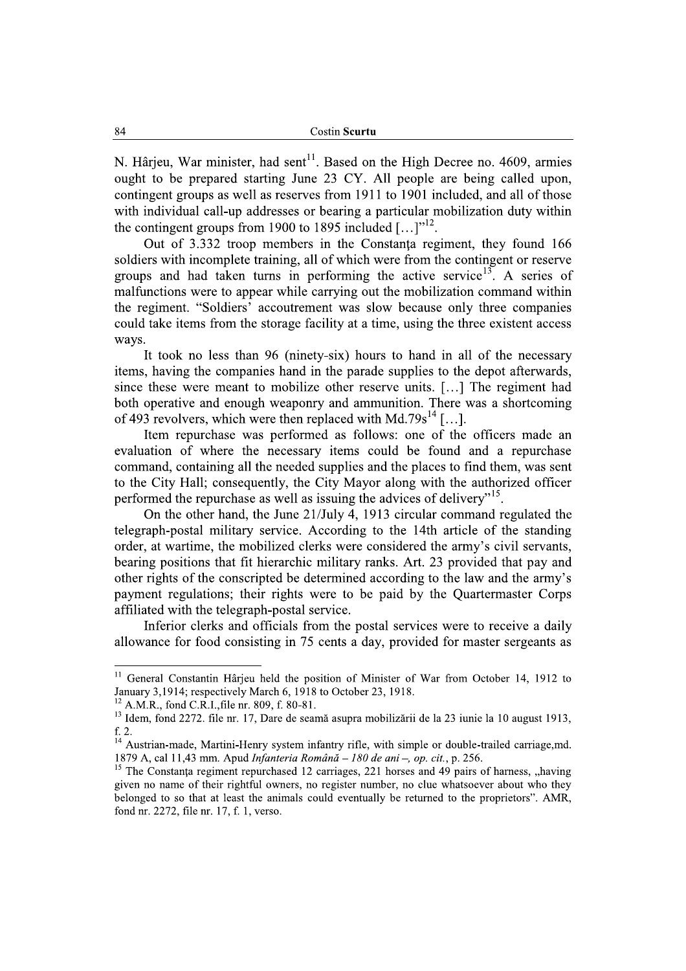N. Hârjeu, War minister, had sent<sup>11</sup>. Based on the High Decree no. 4609, armies ought to be prepared starting June 23 CY. All people are being called upon, contingent groups as well as reserves from 1911 to 1901 included, and all of those with individual call-up addresses or bearing a particular mobilization duty within the contingent groups from 1900 to 1895 included  $[\dots]^{12}$ .

Out of 3.332 troop members in the Constanta regiment, they found 166 soldiers with incomplete training, all of which were from the contingent or reserve groups and had taken turns in performing the active service<sup>13</sup>. A series of malfunctions were to appear while carrying out the mobilization command within the regiment. "Soldiers' accoutrement was slow because only three companies could take items from the storage facility at a time, using the three existent access ways.

It took no less than 96 (ninety-six) hours to hand in all of the necessary items, having the companies hand in the parade supplies to the depot afterwards, since these were meant to mobilize other reserve units. [...] The regiment had both operative and enough weaponry and ammunition. There was a shortcoming of 493 revolvers, which were then replaced with Md.79s<sup>14</sup> [...].

Item repurchase was performed as follows: one of the officers made an evaluation of where the necessary items could be found and a repurchase command, containing all the needed supplies and the places to find them, was sent to the City Hall; consequently, the City Mayor along with the authorized officer performed the repurchase as well as issuing the advices of delivery"<sup>15</sup>.

On the other hand, the June 21/July 4, 1913 circular command regulated the telegraph-postal military service. According to the 14th article of the standing order, at wartime, the mobilized clerks were considered the army's civil servants, bearing positions that fit hierarchic military ranks. Art. 23 provided that pay and other rights of the conscripted be determined according to the law and the army's payment regulations; their rights were to be paid by the Quartermaster Corps affiliated with the telegraph-postal service.

Inferior clerks and officials from the postal services were to receive a daily allowance for food consisting in 75 cents a day, provided for master sergeants as

<sup>&</sup>lt;sup>11</sup> General Constantin Hârjeu held the position of Minister of War from October 14, 1912 to January 3,1914; respectively March 6, 1918 to October 23, 1918.

<sup>&</sup>lt;sup>12</sup> A.M.R., fond C.R.I., file nr. 809, f. 80-81.

<sup>&</sup>lt;sup>13</sup> Idem. fond 2272. file nr. 17, Dare de seamă asupra mobilizării de la 23 iunie la 10 august 1913, f. 2.

<sup>&</sup>lt;sup>14</sup> Austrian-made, Martini-Henry system infantry rifle, with simple or double-trailed carriage,md. 1879 A, cal 11,43 mm. Apud Infanteria Română - 180 de ani -, op. cit., p. 256.

<sup>&</sup>lt;sup>15</sup> The Constanta regiment repurchased 12 carriages, 221 horses and 49 pairs of harness, "having given no name of their rightful owners, no register number, no clue whatsoever about who they belonged to so that at least the animals could eventually be returned to the proprietors". AMR, fond nr. 2272, file nr. 17, f. 1, verso.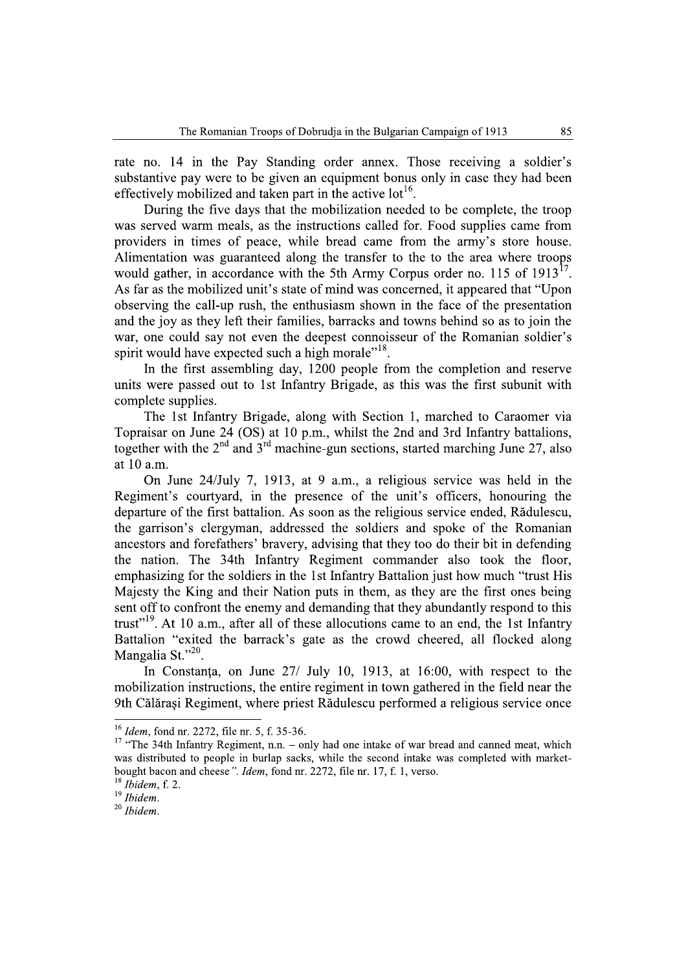rate no. 14 in the Pay Standing order annex. Those receiving a soldier's substantive pay were to be given an equipment bonus only in case they had been effectively mobilized and taken part in the active  $10^{16}$ .

During the five days that the mobilization needed to be complete, the troop was served warm meals, as the instructions called for. Food supplies came from providers in times of peace, while bread came from the army's store house. Alimentation was guaranteed along the transfer to the to the area where troops would gather, in accordance with the 5th Army Corpus order no. 115 of  $1913^{17}$ . As far as the mobilized unit's state of mind was concerned, it appeared that "Upon" observing the call-up rush, the enthusiasm shown in the face of the presentation and the joy as they left their families, barracks and towns behind so as to join the war, one could say not even the deepest connoisseur of the Romanian soldier's spirit would have expected such a high morale"<sup>18</sup>.

In the first assembling day, 1200 people from the completion and reserve units were passed out to 1st Infantry Brigade, as this was the first subunit with complete supplies.

The 1st Infantry Brigade, along with Section 1, marched to Caraomer via Topraisar on June 24 (OS) at 10 p.m., whilst the 2nd and 3rd Infantry battalions, together with the  $2<sup>nd</sup>$  and  $3<sup>rd</sup>$  machine-gun sections, started marching June 27, also at 10 a.m.

On June 24/July 7, 1913, at 9 a.m., a religious service was held in the Regiment's courtyard, in the presence of the unit's officers, honouring the departure of the first battalion. As soon as the religious service ended, Rădulescu, the garrison's clergyman, addressed the soldiers and spoke of the Romanian ancestors and forefathers' bravery, advising that they too do their bit in defending the nation. The 34th Infantry Regiment commander also took the floor, emphasizing for the soldiers in the 1st Infantry Battalion just how much "trust His Majesty the King and their Nation puts in them, as they are the first ones being sent off to confront the enemy and demanding that they abundantly respond to this trust"<sup>19</sup>. At 10 a.m., after all of these allocutions came to an end, the 1st Infantry Battalion "exited the barrack's gate as the crowd cheered, all flocked along Mangalia St."20.

In Constanta, on June 27/ July 10, 1913, at 16:00, with respect to the mobilization instructions, the entire regiment in town gathered in the field near the 9th Călărași Regiment, where priest Rădulescu performed a religious service once

 $^{16}$  *Idem*, fond nr. 2272, file nr. 5, f. 35-36.

<sup>&</sup>lt;sup>17</sup> "The 34th Infantry Regiment, n.n. – only had one intake of war bread and canned meat, which was distributed to people in burlap sacks, while the second intake was completed with marketbought bacon and cheese". Idem, fond nr. 2272, file nr. 17, f. 1, verso.

 $18$  Ibidem, f. 2.

 $19$  Ibidem.

 $20$  Ibidem.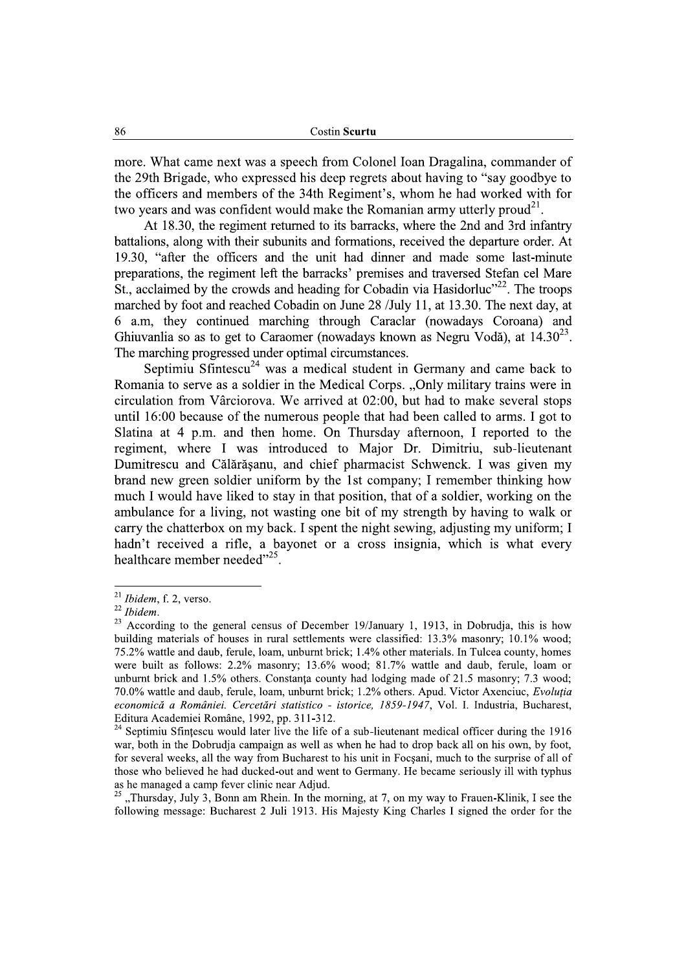more. What came next was a speech from Colonel Ioan Dragalina, commander of the 29th Brigade, who expressed his deep regrets about having to "say goodbye to" the officers and members of the 34th Regiment's, whom he had worked with for two vears and was confident would make the Romanian army utterly proud<sup>21</sup>.

At 18.30, the regiment returned to its barracks, where the 2nd and 3rd infantry battalions, along with their subunits and formations, received the departure order. At 19.30, "after the officers and the unit had dinner and made some last-minute preparations, the regiment left the barracks' premises and traversed Stefan cel Mare St., acclaimed by the crowds and heading for Cobadin via Hasidorluc<sup>22</sup>. The troops marched by foot and reached Cobadin on June 28 /July 11, at 13.30. The next day, at 6 a.m., they continued marching through Caraclar (nowadays Coroana) and Ghiuvanlia so as to get to Caraomer (nowadays known as Negru Vodă), at  $14.30^{23}$ . The marching progressed under optimal circumstances.

Septimiu Sfintescu<sup>24</sup> was a medical student in Germany and came back to Romania to serve as a soldier in the Medical Corps. "Only military trains were in circulation from Vârciorova. We arrived at 02:00, but had to make several stops until 16:00 because of the numerous people that had been called to arms. I got to Slatina at 4 p.m. and then home. On Thursday afternoon, I reported to the regiment, where I was introduced to Major Dr. Dimitriu, sub-lieutenant Dumitrescu and Călărășanu, and chief pharmacist Schwenck. I was given my brand new green soldier uniform by the 1st company; I remember thinking how much I would have liked to stay in that position, that of a soldier, working on the ambulance for a living, not wasting one bit of my strength by having to walk or carry the chatterbox on my back. I spent the night sewing, adjusting my uniform; I hadn't received a rifle, a bayonet or a cross insignia, which is what every healthcare member needed"<sup>25</sup>.

"Thursday, July 3, Bonn am Rhein. In the morning, at 7, on my way to Frauen-Klinik, I see the following message: Bucharest 2 Juli 1913. His Majesty King Charles I signed the order for the

 $21$  *Ibidem*, f. 2, verso.

 $22$  Ibidem.

<sup>&</sup>lt;sup>23</sup> According to the general census of December 19/January 1, 1913, in Dobrudja, this is how building materials of houses in rural settlements were classified: 13.3% masonry; 10.1% wood; 75.2% wattle and daub, ferule, loam, unburnt brick; 1.4% other materials. In Tulcea county, homes were built as follows: 2.2% masonry; 13.6% wood; 81.7% wattle and daub, ferule, loam or unburnt brick and 1.5% others. Constanta county had lodging made of 21.5 masonry; 7.3 wood; 70.0% wattle and daub, ferule, loam, unburnt brick; 1.2% others. Apud. Victor Axenciuc, Evolutia economică a României. Cercetări statistico - istorice, 1859-1947, Vol. I. Industria, Bucharest, Editura Academiei Române, 1992, pp. 311-312.

<sup>&</sup>lt;sup>24</sup> Septimiu Sfintescu would later live the life of a sub-lieutenant medical officer during the 1916 war, both in the Dobrudia campaign as well as when he had to drop back all on his own, by foot. for several weeks, all the way from Bucharest to his unit in Focsani, much to the surprise of all of those who believed he had ducked-out and went to Germany. He became seriously ill with typhus as he managed a camp fever clinic near Adjud.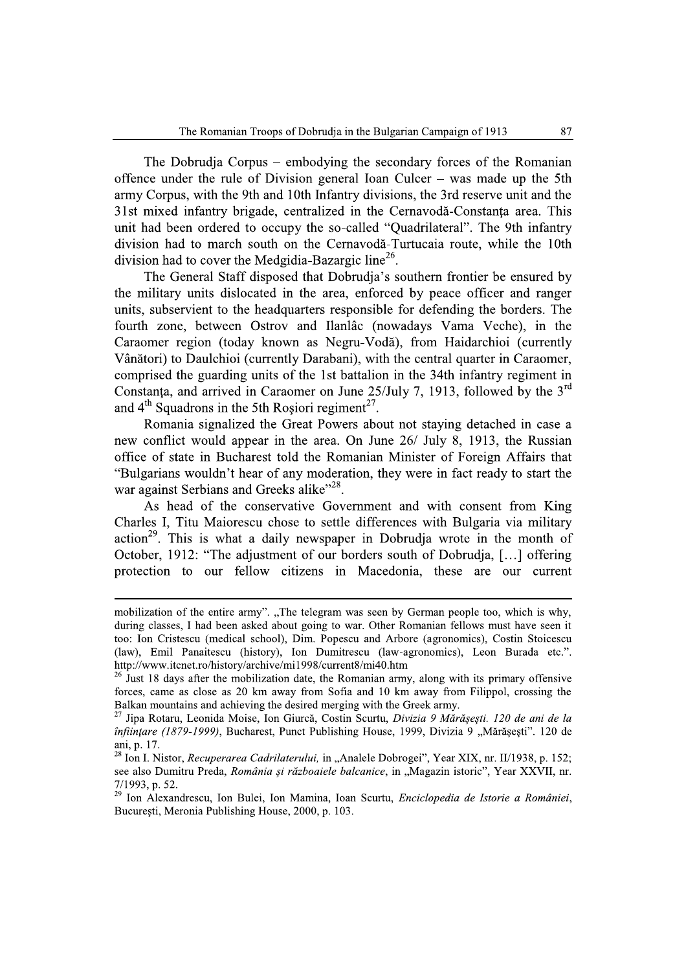The Dobrudia Corpus – embodying the secondary forces of the Romanian offence under the rule of Division general Ioan Culcer – was made up the 5th army Corpus, with the 9th and 10th Infantry divisions, the 3rd reserve unit and the 31st mixed infantry brigade, centralized in the Cernavodă-Constanta area. This unit had been ordered to occupy the so-called "Quadrilateral". The 9th infantry division had to march south on the Cernavodă-Turtucaia route, while the 10th division had to cover the Medgidia-Bazargic line<sup>26</sup>.

The General Staff disposed that Dobrudia's southern frontier be ensured by the military units dislocated in the area, enforced by peace officer and ranger units, subservient to the headquarters responsible for defending the borders. The fourth zone, between Ostrov and Ilanlâc (nowadays Vama Veche), in the Caraomer region (today known as Negru-Vodă), from Haidarchioi (currently Vânători) to Daulchioi (currently Darabani), with the central quarter in Caraomer, comprised the guarding units of the 1st battalion in the 34th infantry regiment in Constanta, and arrived in Caraomer on June 25/July 7, 1913, followed by the 3<sup>rd</sup> and  $4<sup>th</sup>$  Squadrons in the 5th Rosiori regiment<sup>27</sup>.

Romania signalized the Great Powers about not staving detached in case a new conflict would appear in the area. On June 26/ July 8, 1913, the Russian office of state in Bucharest told the Romanian Minister of Foreign Affairs that "Bulgarians wouldn't hear of any moderation, they were in fact ready to start the war against Serbians and Greeks alike"<sup>28</sup>.

As head of the conservative Government and with consent from King Charles I, Titu Maiorescu chose to settle differences with Bulgaria via military  $\arctan^{29}$ . This is what a daily newspaper in Dobrudja wrote in the month of October, 1912: "The adjustment of our borders south of Dobrudja, [...] offering protection to our fellow citizens in Macedonia, these are our current

mobilization of the entire army". "The telegram was seen by German people too, which is why, during classes, I had been asked about going to war. Other Romanian fellows must have seen it too: Ion Cristescu (medical school), Dim. Popescu and Arbore (agronomics), Costin Stoicescu (law), Emil Panaitescu (history), Ion Dumitrescu (law-agronomics), Leon Burada etc.". http://www.itcnet.ro/history/archive/mi1998/current8/mi40.htm

 $^{26}$  Just 18 days after the mobilization date, the Romanian army, along with its primary offensive forces, came as close as 20 km away from Sofia and 10 km away from Filippol, crossing the Balkan mountains and achieving the desired merging with the Greek army.

<sup>&</sup>lt;sup>27</sup> Jipa Rotaru, Leonida Moise, Ion Giurcă, Costin Scurtu, *Divizia 9 Mărășești. 120 de ani de la* înființare (1879-1999), Bucharest, Punct Publishing House, 1999, Divizia 9 "Mărășești". 120 de ani, p. 17.

<sup>&</sup>lt;sup>28</sup> Ion I. Nistor, *Recuperarea Cadrilaterului*, in "Analele Dobrogei", Year XIX, nr. II/1938, p. 152; see also Dumitru Preda, România și războaiele balcanice, in "Magazin istoric", Year XXVII, nr. 7/1993. p. 52.

<sup>&</sup>lt;sup>29</sup> Ion Alexandrescu, Ion Bulei, Ion Mamina, Ioan Scurtu, Enciclopedia de Istorie a României, București, Meronia Publishing House, 2000, p. 103.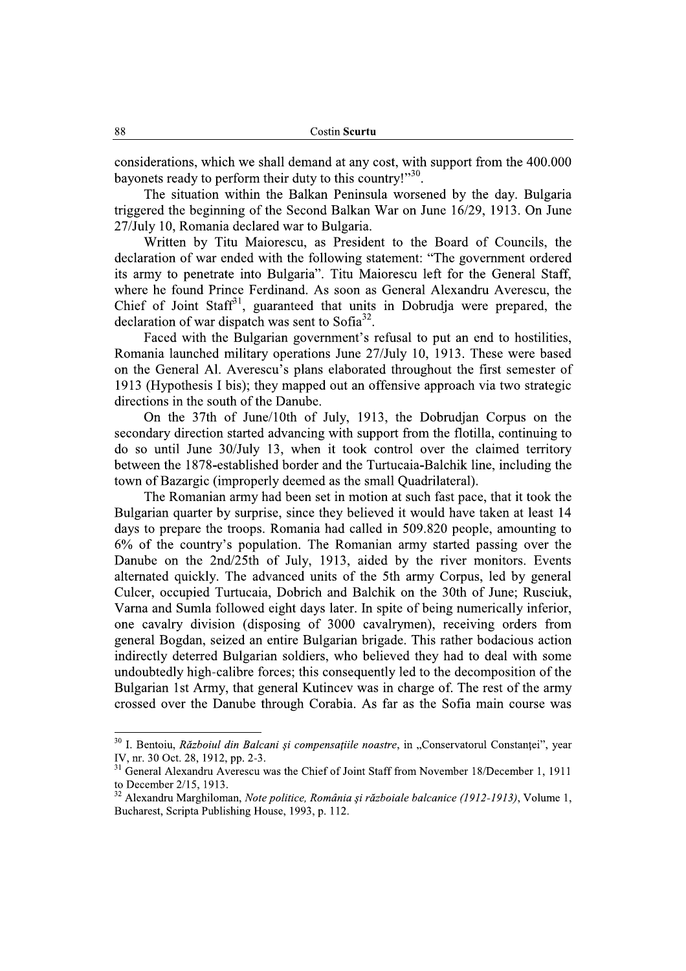considerations, which we shall demand at any cost, with support from the 400,000 bayonets ready to perform their duty to this country!"30.

The situation within the Balkan Peninsula worsened by the day. Bulgaria triggered the beginning of the Second Balkan War on June 16/29, 1913. On June 27/July 10, Romania declared war to Bulgaria.

Written by Titu Maiorescu, as President to the Board of Councils, the declaration of war ended with the following statement: "The government ordered its army to penetrate into Bulgaria". Titu Maiorescu left for the General Staff, where he found Prince Ferdinand. As soon as General Alexandru Averescu, the Chief of Joint Staff<sup>31</sup>, guaranteed that units in Dobrudja were prepared, the declaration of war dispatch was sent to Sofia<sup>32</sup>.

Faced with the Bulgarian government's refusal to put an end to hostilities, Romania launched military operations June 27/July 10, 1913. These were based on the General Al. Averescu's plans elaborated throughout the first semester of 1913 (Hypothesis I bis); they mapped out an offensive approach via two strategic directions in the south of the Danube.

On the 37th of June/10th of July, 1913, the Dobrudjan Corpus on the secondary direction started advancing with support from the flotilla, continuing to do so until June 30/July 13, when it took control over the claimed territory between the 1878-established border and the Turtucaia-Balchik line, including the town of Bazargic (improperly deemed as the small Quadrilateral).

The Romanian army had been set in motion at such fast pace, that it took the Bulgarian quarter by surprise, since they believed it would have taken at least 14 days to prepare the troops. Romania had called in 509.820 people, amounting to 6% of the country's population. The Romanian army started passing over the Danube on the 2nd/25th of July, 1913, aided by the river monitors. Events alternated quickly. The advanced units of the 5th army Corpus, led by general Culcer, occupied Turtucaia, Dobrich and Balchik on the 30th of June; Rusciuk, Varna and Sumla followed eight days later. In spite of being numerically inferior, one cavalry division (disposing of 3000 cavalrymen), receiving orders from general Bogdan, seized an entire Bulgarian brigade. This rather bodacious action indirectly deterred Bulgarian soldiers, who believed they had to deal with some undoubtedly high-calibre forces; this consequently led to the decomposition of the Bulgarian 1st Army, that general Kutincey was in charge of. The rest of the army crossed over the Danube through Corabia. As far as the Sofia main course was

<sup>&</sup>lt;sup>30</sup> I. Bentoiu, Războiul din Balcani și compensațiile noastre, in "Conservatorul Constanței", year IV, nr. 30 Oct. 28, 1912, pp. 2-3.

<sup>&</sup>lt;sup>31</sup> General Alexandru Averescu was the Chief of Joint Staff from November 18/December 1, 1911 to December 2/15, 1913.

<sup>&</sup>lt;sup>32</sup> Alexandru Marghiloman, Note politice, România și războiale balcanice (1912-1913), Volume 1, Bucharest, Scripta Publishing House, 1993, p. 112.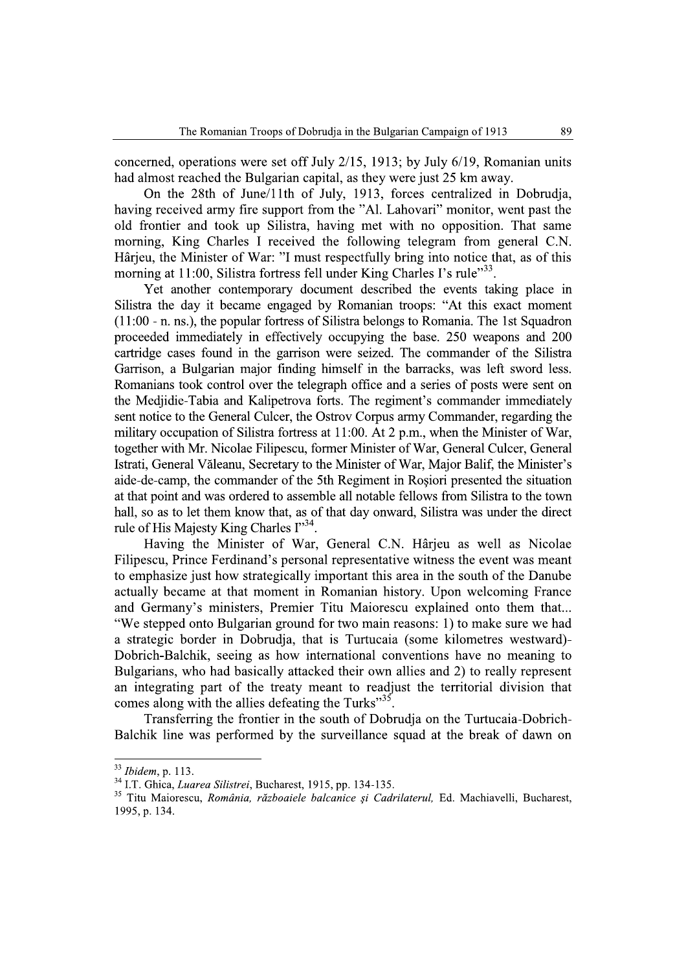concerned, operations were set off July 2/15, 1913; by July 6/19, Romanian units had almost reached the Bulgarian capital, as they were just 25 km away.

On the 28th of June/11th of July, 1913, forces centralized in Dobrudja, having received army fire support from the "Al. Lahovari" monitor, went past the old frontier and took up Silistra, having met with no opposition. That same morning, King Charles I received the following telegram from general C.N. Hârjeu, the Minister of War: "I must respectfully bring into notice that, as of this morning at 11:00, Silistra fortress fell under King Charles I's rule"<sup>33</sup>.

Yet another contemporary document described the events taking place in Silistra the day it became engaged by Romanian troops: "At this exact moment (11:00 - n. ns.), the popular fortress of Silistra belongs to Romania. The 1st Squadron proceeded immediately in effectively occupying the base. 250 weapons and 200 cartridge cases found in the garrison were seized. The commander of the Silistra Garrison, a Bulgarian major finding himself in the barracks, was left sword less. Romanians took control over the telegraph office and a series of posts were sent on the Mediidie-Tabia and Kalipetrova forts. The regiment's commander immediately sent notice to the General Culcer, the Ostrov Corpus army Commander, regarding the military occupation of Silistra fortress at 11:00. At 2 p.m., when the Minister of War, together with Mr. Nicolae Filipescu, former Minister of War, General Culcer, General Istrati, General Văleanu, Secretary to the Minister of War, Major Balif, the Minister's aide-de-camp, the commander of the 5th Regiment in Rosiori presented the situation at that point and was ordered to assemble all notable fellows from Silistra to the town hall, so as to let them know that, as of that day onward. Silistra was under the direct rule of His Majesty King Charles I"34.

Having the Minister of War, General C.N. Hârjeu as well as Nicolae Filipescu, Prince Ferdinand's personal representative witness the event was meant to emphasize just how strategically important this area in the south of the Danube actually became at that moment in Romanian history. Upon welcoming France and Germany's ministers, Premier Titu Maiorescu explained onto them that... "We stepped onto Bulgarian ground for two main reasons: 1) to make sure we had a strategic border in Dobrudja, that is Turtucaia (some kilometres westward)-Dobrich-Balchik, seeing as how international conventions have no meaning to Bulgarians, who had basically attacked their own allies and 2) to really represent an integrating part of the treaty meant to readjust the territorial division that comes along with the allies defeating the Turks"<sup>35</sup>

Transferring the frontier in the south of Dobrudja on the Turtucaia-Dobrich-Balchik line was performed by the surveillance squad at the break of dawn on

<sup>&</sup>lt;sup>33</sup> Ibidem, p. 113.

<sup>&</sup>lt;sup>34</sup> I.T. Ghica, *Luarea Silistrei*, Bucharest, 1915, pp. 134-135.

<sup>&</sup>lt;sup>35</sup> Titu Maiorescu, România, războaiele balcanice și Cadrilaterul, Ed. Machiavelli, Bucharest, 1995, p. 134.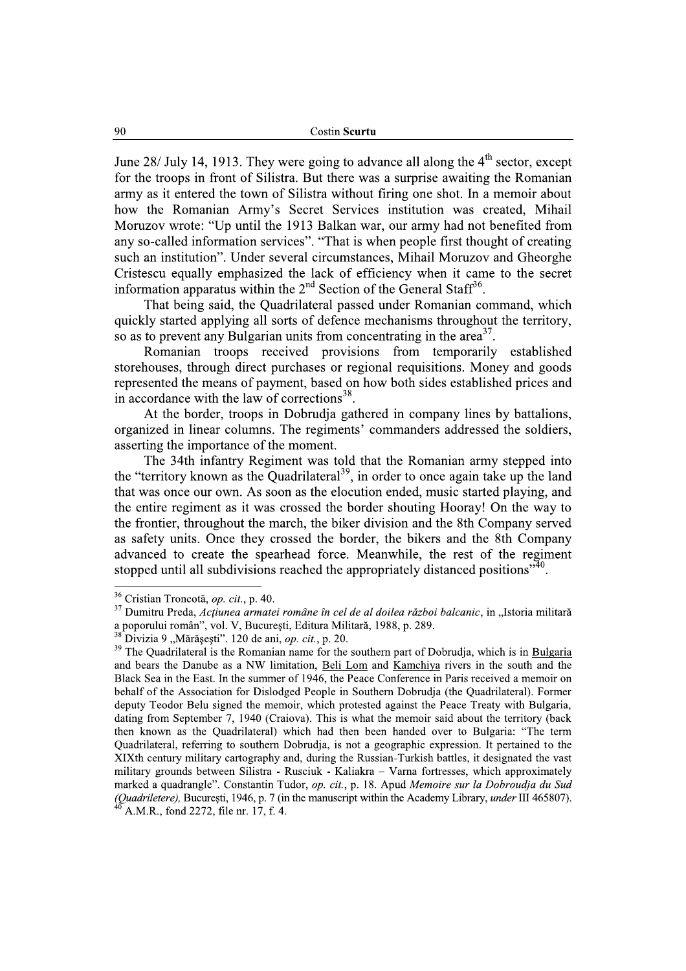June 28/ July 14, 1913. They were going to advance all along the  $4<sup>th</sup>$  sector. except for the troops in front of Silistra. But there was a surprise awaiting the Romanian army as it entered the town of Silistra without firing one shot. In a memoir about how the Romanian Army's Secret Services institution was created, Mihail Moruzov wrote: "Up until the 1913 Balkan war, our army had not benefited from any so-called information services". "That is when people first thought of creating such an institution". Under several circumstances, Mihail Moruzov and Gheorghe Cristescu equally emphasized the lack of efficiency when it came to the secret information apparatus within the  $2<sup>nd</sup>$  Section of the General Staff<sup>36</sup>.

That being said, the Quadrilateral passed under Romanian command, which quickly started applying all sorts of defence mechanisms throughout the territory, so as to prevent any Bulgarian units from concentrating in the area<sup>37</sup>.

Romanian troops received provisions from temporarily established storehouses, through direct purchases or regional requisitions. Money and goods represented the means of payment, based on how both sides established prices and in accordance with the law of corrections<sup>38</sup>.

At the border, troops in Dobrudja gathered in company lines by battalions, organized in linear columns. The regiments' commanders addressed the soldiers, asserting the importance of the moment.

The 34th infantry Regiment was told that the Romanian army stepped into the "territory known as the Quadrilateral<sup>39</sup>, in order to once again take up the land that was once our own. As soon as the elocution ended, music started playing, and the entire regiment as it was crossed the border shouting Hooray! On the way to the frontier, throughout the march, the biker division and the 8th Company served as safety units. Once they crossed the border, the bikers and the 8th Company advanced to create the spearhead force. Meanwhile, the rest of the regiment stopped until all subdivisions reached the appropriately distanced positions<sup>340</sup>.

<sup>&</sup>lt;sup>36</sup> Cristian Troncotă, op. cit., p. 40.

<sup>&</sup>lt;sup>37</sup> Dumitru Preda, Actiunea armatei române în cel de al doilea război balcanic, in "Istoria militară a poporului român", vol. V, București, Editura Militară, 1988, p. 289.

 $^{38}$ Divizia 9 "Mărăsesti". 120 de ani, *op. cit.*, p. 20.

<sup>&</sup>lt;sup>39</sup> The Quadrilateral is the Romanian name for the southern part of Dobrudja, which is in Bulgaria and bears the Danube as a NW limitation, Beli Lom and Kamchiya rivers in the south and the Black Sea in the East. In the summer of 1946, the Peace Conference in Paris received a memoir on behalf of the Association for Dislodged People in Southern Dobrudia (the Quadrilateral). Former deputy Teodor Belu signed the memoir, which protested against the Peace Treaty with Bulgaria, dating from September 7, 1940 (Craiova). This is what the memoir said about the territory (back then known as the Quadrilateral) which had then been handed over to Bulgaria: "The term Quadrilateral, referring to southern Dobrudia, is not a geographic expression. It pertained to the XIXth century military cartography and, during the Russian-Turkish battles, it designated the vast military grounds between Silistra - Rusciuk - Kaliakra - Varna fortresses, which approximately marked a quadrangle". Constantin Tudor, op. cit., p. 18. Apud Memoire sur la Dobroudja du Sud (Quadriletere), București, 1946, p. 7 (in the manuscript within the Academy Library, under III 465807). A.M.R., fond 2272, file nr. 17, f. 4.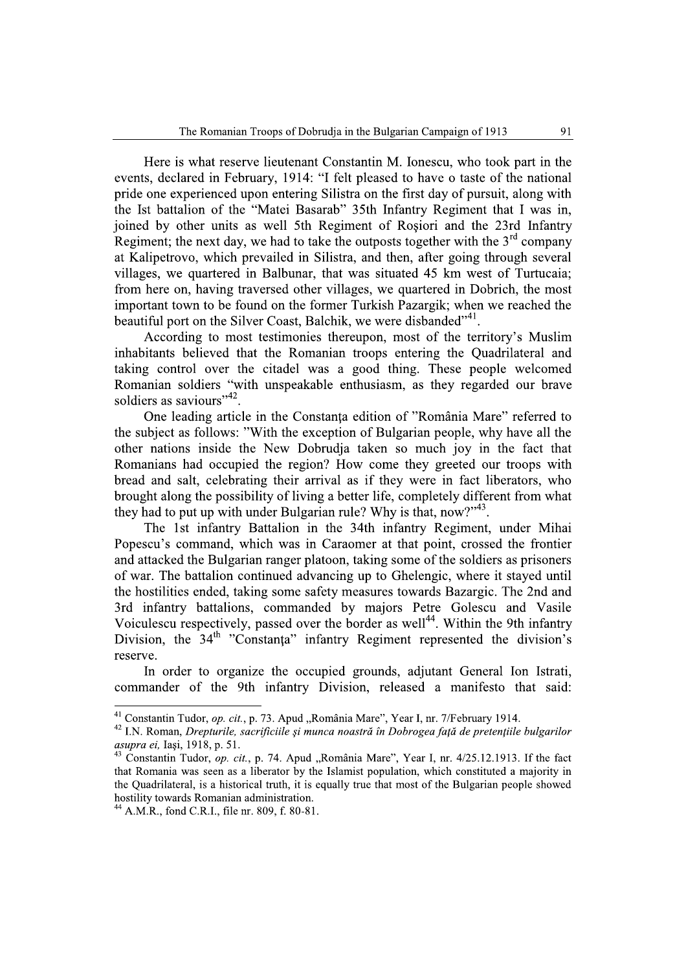Here is what reserve lieutenant Constantin M. Ionescu, who took part in the events, declared in February, 1914: "I felt pleased to have o taste of the national pride one experienced upon entering Silistra on the first day of pursuit, along with the Ist battalion of the "Matei Basarab" 35th Infantry Regiment that I was in. joined by other units as well 5th Regiment of Rosiori and the 23rd Infantry Regiment; the next day, we had to take the outposts together with the  $3<sup>rd</sup>$  company at Kalipetrovo, which prevailed in Silistra, and then, after going through several villages, we quartered in Balbunar, that was situated 45 km west of Turtucaia; from here on, having traversed other villages, we quartered in Dobrich, the most important town to be found on the former Turkish Pazargik; when we reached the beautiful port on the Silver Coast, Balchik, we were disbanded"<sup>41</sup>.

According to most testimonies thereupon, most of the territory's Muslim inhabitants believed that the Romanian troops entering the Quadrilateral and taking control over the citadel was a good thing. These people welcomed Romanian soldiers "with unspeakable enthusiasm, as they regarded our brave soldiers as saviours", 42

One leading article in the Constanta edition of "România Mare" referred to the subject as follows: "With the exception of Bulgarian people, why have all the other nations inside the New Dobrudja taken so much joy in the fact that Romanians had occupied the region? How come they greeted our troops with bread and salt, celebrating their arrival as if they were in fact liberators, who brought along the possibility of living a better life, completely different from what they had to put up with under Bulgarian rule? Why is that, now?"<sup>43</sup>.

The 1st infantry Battalion in the 34th infantry Regiment, under Mihai Popescu's command, which was in Caraomer at that point, crossed the frontier and attacked the Bulgarian ranger platoon, taking some of the soldiers as prisoners of war. The battalion continued advancing up to Ghelengic, where it staved until the hostilities ended, taking some safety measures towards Bazargic. The 2nd and 3rd infantry battalions, commanded by majors Petre Golescu and Vasile Voiculescu respectively, passed over the border as well<sup>44</sup>. Within the 9th infantry Division, the 34<sup>th</sup> "Constanta" infantry Regiment represented the division's reserve.

In order to organize the occupied grounds, adjutant General Ion Istrati, commander of the 9th infantry Division, released a manifesto that said:

<sup>&</sup>lt;sup>41</sup> Constantin Tudor, op. cit., p. 73. Apud "România Mare", Year I, nr. 7/February 1914.

<sup>&</sup>lt;sup>42</sup> I.N. Roman, Drepturile, sacrificiile și munca noastră în Dobrogea față de pretențiile bulgarilor asupra ei. Iasi, 1918, p. 51.

<sup>&</sup>lt;sup>43</sup> Constantin Tudor, op. cit., p. 74. Apud "România Mare", Year I, nr. 4/25.12.1913. If the fact that Romania was seen as a liberator by the Islamist population, which constituted a majority in the Quadrilateral, is a historical truth, it is equally true that most of the Bulgarian people showed hostility towards Romanian administration.

 $^{44}$  A.M.R., fond C.R.I., file nr. 809, f. 80-81.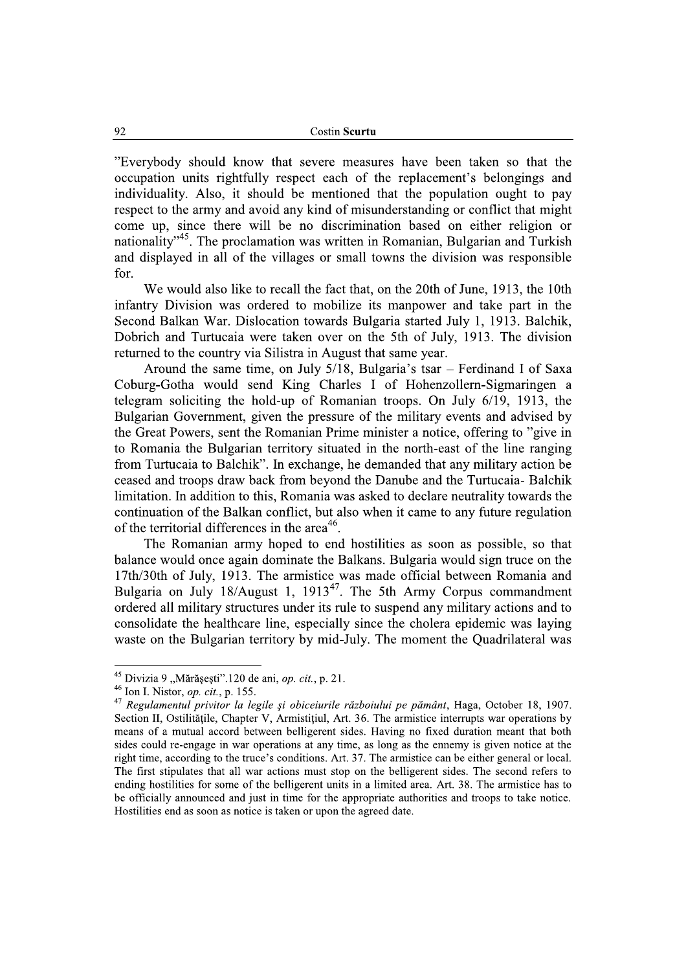"Everybody should know that severe measures have been taken so that the occupation units rightfully respect each of the replacement's belongings and individuality. Also, it should be mentioned that the population ought to pay respect to the army and avoid any kind of misunderstanding or conflict that might come up, since there will be no discrimination based on either religion or nationality"<sup>45</sup>. The proclamation was written in Romanian, Bulgarian and Turkish and displayed in all of the villages or small towns the division was responsible  $for$ 

We would also like to recall the fact that, on the 20th of June, 1913, the 10th infantry Division was ordered to mobilize its manpower and take part in the Second Balkan War. Dislocation towards Bulgaria started July 1, 1913. Balchik, Dobrich and Turtucaia were taken over on the 5th of July, 1913. The division returned to the country via Silistra in August that same year.

Around the same time, on July 5/18, Bulgaria's tsar – Ferdinand I of Saxa Coburg-Gotha would send King Charles I of Hohenzollern-Sigmaringen a telegram soliciting the hold-up of Romanian troops. On July 6/19, 1913, the Bulgarian Government, given the pressure of the military events and advised by the Great Powers, sent the Romanian Prime minister a notice, offering to "give in to Romania the Bulgarian territory situated in the north-east of the line ranging from Turtucaia to Balchik". In exchange, he demanded that any military action be ceased and troops draw back from beyond the Danube and the Turtucaia- Balchik limitation. In addition to this, Romania was asked to declare neutrality towards the continuation of the Balkan conflict, but also when it came to any future regulation of the territorial differences in the area<sup>46</sup>.

The Romanian army hoped to end hostilities as soon as possible, so that balance would once again dominate the Balkans. Bulgaria would sign truce on the 17th/30th of July, 1913. The armistice was made official between Romania and Bulgaria on July 18/August 1, 1913<sup>47</sup>. The 5th Army Corpus commandment ordered all military structures under its rule to suspend any military actions and to consolidate the healthcare line, especially since the cholera epidemic was laying waste on the Bulgarian territory by mid-July. The moment the Quadrilateral was

<sup>&</sup>lt;sup>45</sup> Divizia 9 "Mărășești".120 de ani, *op. cit.*, p. 21.

 $46$  Ion I. Nistor, *op. cit.*, p. 155.

<sup>&</sup>lt;sup>47</sup> Regulamentul privitor la legile și obiceiurile războiului pe pământ, Haga, October 18, 1907. Section II, Ostilitățile, Chapter V, Armistițiul, Art. 36. The armistice interrupts war operations by means of a mutual accord between belligerent sides. Having no fixed duration meant that both sides could re-engage in war operations at any time, as long as the ennemy is given notice at the right time, according to the truce's conditions. Art. 37. The armistice can be either general or local. The first stipulates that all war actions must stop on the belligerent sides. The second refers to ending hostilities for some of the belligerent units in a limited area. Art. 38. The armistice has to be officially announced and just in time for the appropriate authorities and troops to take notice. Hostilities end as soon as notice is taken or upon the agreed date.